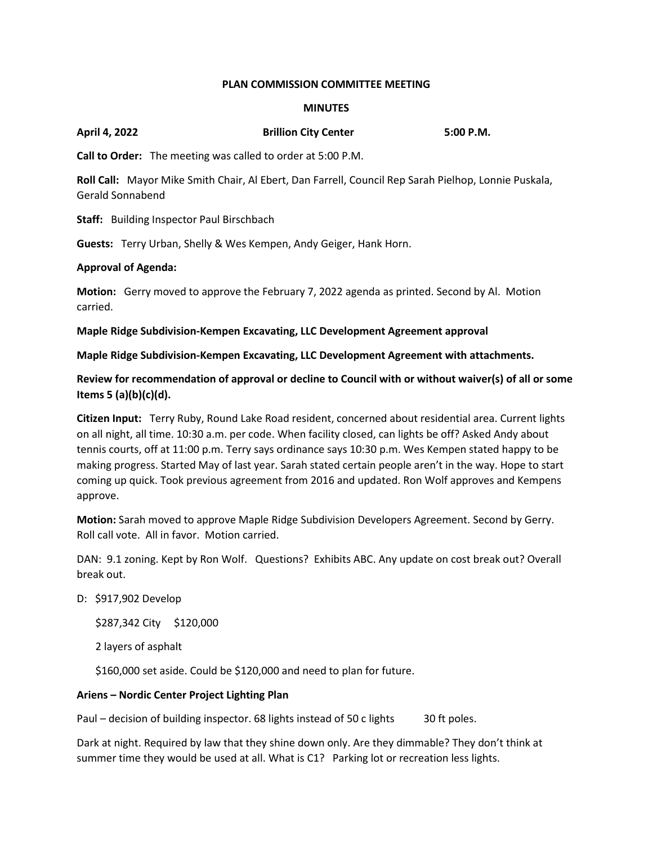## **PLAN COMMISSION COMMITTEE MEETING**

## **MINUTES**

**April 4, 2022 Brillion City Center 5:00 P.M.**

**Call to Order:** The meeting was called to order at 5:00 P.M.

**Roll Call:** Mayor Mike Smith Chair, Al Ebert, Dan Farrell, Council Rep Sarah Pielhop, Lonnie Puskala, Gerald Sonnabend

**Staff:** Building Inspector Paul Birschbach

**Guests:** Terry Urban, Shelly & Wes Kempen, Andy Geiger, Hank Horn.

## **Approval of Agenda:**

**Motion:** Gerry moved to approve the February 7, 2022 agenda as printed. Second by Al. Motion carried.

**Maple Ridge Subdivision-Kempen Excavating, LLC Development Agreement approval**

**Maple Ridge Subdivision-Kempen Excavating, LLC Development Agreement with attachments.**

**Review for recommendation of approval or decline to Council with or without waiver(s) of all or some Items 5 (a)(b)(c)(d).**

**Citizen Input:** Terry Ruby, Round Lake Road resident, concerned about residential area. Current lights on all night, all time. 10:30 a.m. per code. When facility closed, can lights be off? Asked Andy about tennis courts, off at 11:00 p.m. Terry says ordinance says 10:30 p.m. Wes Kempen stated happy to be making progress. Started May of last year. Sarah stated certain people aren't in the way. Hope to start coming up quick. Took previous agreement from 2016 and updated. Ron Wolf approves and Kempens approve.

**Motion:** Sarah moved to approve Maple Ridge Subdivision Developers Agreement. Second by Gerry. Roll call vote. All in favor. Motion carried.

DAN: 9.1 zoning. Kept by Ron Wolf. Questions? Exhibits ABC. Any update on cost break out? Overall break out.

D: \$917,902 Develop

\$287,342 City \$120,000

2 layers of asphalt

\$160,000 set aside. Could be \$120,000 and need to plan for future.

## **Ariens – Nordic Center Project Lighting Plan**

Paul – decision of building inspector. 68 lights instead of 50 c lights 30 ft poles.

Dark at night. Required by law that they shine down only. Are they dimmable? They don't think at summer time they would be used at all. What is C1? Parking lot or recreation less lights.